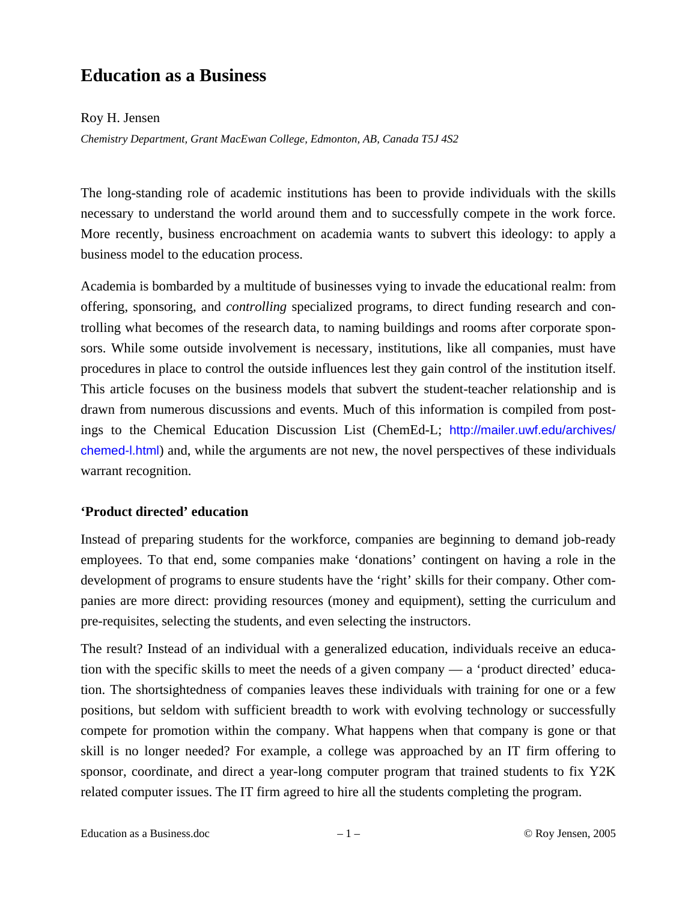# **Education as a Business**

## Roy H. Jensen

*Chemistry Department, Grant MacEwan College, Edmonton, AB, Canada T5J 4S2* 

The long-standing role of academic institutions has been to provide individuals with the skills necessary to understand the world around them and to successfully compete in the work force. More recently, business encroachment on academia wants to subvert this ideology: to apply a business model to the education process.

Academia is bombarded by a multitude of businesses vying to invade the educational realm: from offering, sponsoring, and *controlling* specialized programs, to direct funding research and controlling what becomes of the research data, to naming buildings and rooms after corporate sponsors. While some outside involvement is necessary, institutions, like all companies, must have procedures in place to control the outside influences lest they gain control of the institution itself. This article focuses on the business models that subvert the student-teacher relationship and is drawn from numerous discussions and events. Much of this information is compiled from postings to the Chemical Education Discussion List (ChemEd-L; http://mailer.uwf.edu/archives/ chemed-l.html) and, while the arguments are not new, the novel perspectives of these individuals warrant recognition.

# **'Product directed' education**

Instead of preparing students for the workforce, companies are beginning to demand job-ready employees. To that end, some companies make 'donations' contingent on having a role in the development of programs to ensure students have the 'right' skills for their company. Other companies are more direct: providing resources (money and equipment), setting the curriculum and pre-requisites, selecting the students, and even selecting the instructors.

The result? Instead of an individual with a generalized education, individuals receive an education with the specific skills to meet the needs of a given company — a 'product directed' education. The shortsightedness of companies leaves these individuals with training for one or a few positions, but seldom with sufficient breadth to work with evolving technology or successfully compete for promotion within the company. What happens when that company is gone or that skill is no longer needed? For example, a college was approached by an IT firm offering to sponsor, coordinate, and direct a year-long computer program that trained students to fix Y2K related computer issues. The IT firm agreed to hire all the students completing the program.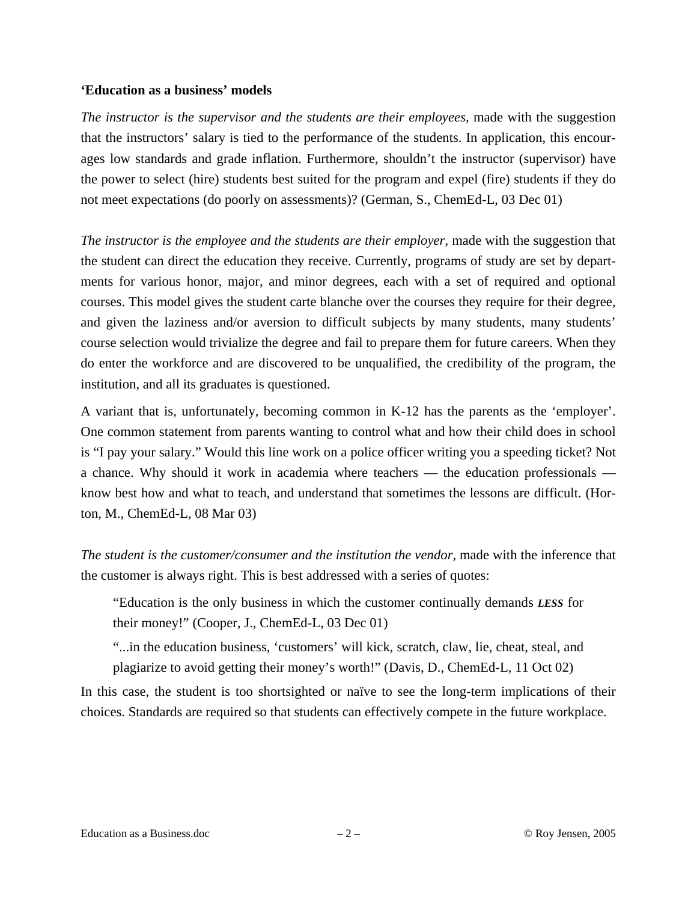#### **'Education as a business' models**

*The instructor is the supervisor and the students are their employees, made with the suggestion* that the instructors' salary is tied to the performance of the students. In application, this encourages low standards and grade inflation. Furthermore, shouldn't the instructor (supervisor) have the power to select (hire) students best suited for the program and expel (fire) students if they do not meet expectations (do poorly on assessments)? (German, S., ChemEd-L, 03 Dec 01)

*The instructor is the employee and the students are their employer, made with the suggestion that* the student can direct the education they receive. Currently, programs of study are set by departments for various honor, major, and minor degrees, each with a set of required and optional courses. This model gives the student carte blanche over the courses they require for their degree, and given the laziness and/or aversion to difficult subjects by many students, many students' course selection would trivialize the degree and fail to prepare them for future careers. When they do enter the workforce and are discovered to be unqualified, the credibility of the program, the institution, and all its graduates is questioned.

A variant that is, unfortunately, becoming common in K-12 has the parents as the 'employer'. One common statement from parents wanting to control what and how their child does in school is "I pay your salary." Would this line work on a police officer writing you a speeding ticket? Not a chance. Why should it work in academia where teachers — the education professionals know best how and what to teach, and understand that sometimes the lessons are difficult. (Horton, M., ChemEd-L, 08 Mar 03)

*The student is the customer/consumer and the institution the vendor,* made with the inference that the customer is always right. This is best addressed with a series of quotes:

"Education is the only business in which the customer continually demands *LESS* for their money!" (Cooper, J., ChemEd-L, 03 Dec 01)

"...in the education business, 'customers' will kick, scratch, claw, lie, cheat, steal, and plagiarize to avoid getting their money's worth!" (Davis, D., ChemEd-L, 11 Oct 02)

In this case, the student is too shortsighted or naïve to see the long-term implications of their choices. Standards are required so that students can effectively compete in the future workplace.